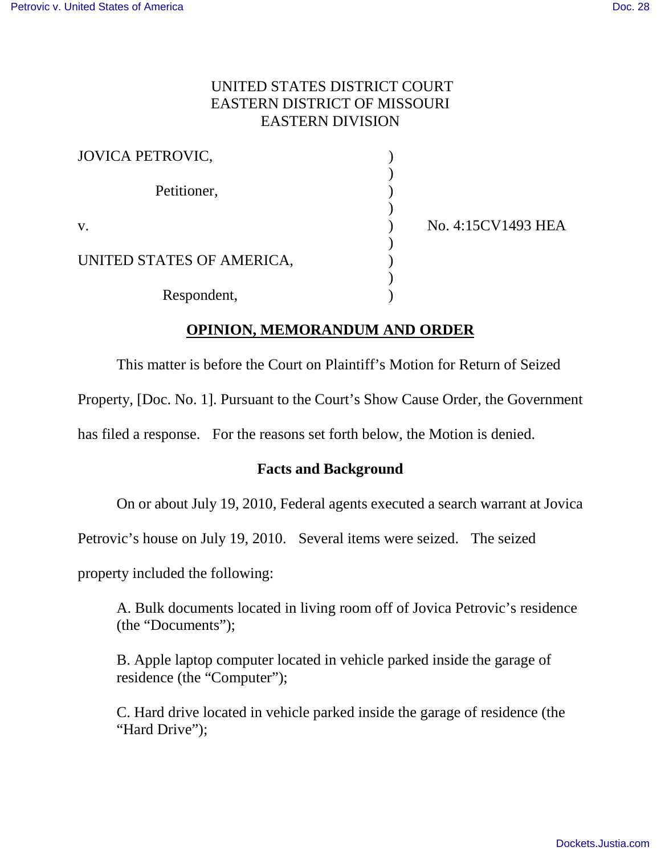### UNITED STATES DISTRICT COURT EASTERN DISTRICT OF MISSOURI EASTERN DIVISION

| <b>JOVICA PETROVIC,</b>   |                    |
|---------------------------|--------------------|
| Petitioner,               |                    |
| V.                        | No. 4:15CV1493 HEA |
| UNITED STATES OF AMERICA, |                    |
| Respondent,               |                    |

# **OPINION, MEMORANDUM AND ORDER**

This matter is before the Court on Plaintiff's Motion for Return of Seized

Property, [Doc. No. 1]. Pursuant to the Court's Show Cause Order, the Government

has filed a response. For the reasons set forth below, the Motion is denied.

### **Facts and Background**

On or about July 19, 2010, Federal agents executed a search warrant at Jovica

Petrovic's house on July 19, 2010. Several items were seized. The seized

property included the following:

A. Bulk documents located in living room off of Jovica Petrovic's residence (the "Documents");

B. Apple laptop computer located in vehicle parked inside the garage of residence (the "Computer");

C. Hard drive located in vehicle parked inside the garage of residence (the "Hard Drive":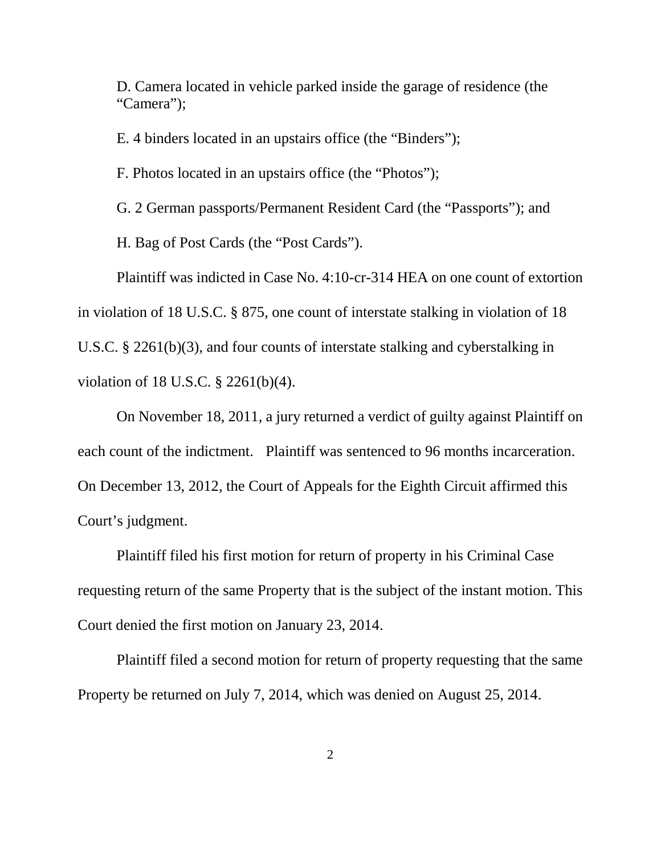D. Camera located in vehicle parked inside the garage of residence (the "Camera");

E. 4 binders located in an upstairs office (the "Binders");

F. Photos located in an upstairs office (the "Photos");

G. 2 German passports/Permanent Resident Card (the "Passports"); and

H. Bag of Post Cards (the "Post Cards").

Plaintiff was indicted in Case No. 4:10-cr-314 HEA on one count of extortion in violation of 18 U.S.C. § 875, one count of interstate stalking in violation of 18 U.S.C. § 2261(b)(3), and four counts of interstate stalking and cyberstalking in violation of 18 U.S.C. § 2261(b)(4).

On November 18, 2011, a jury returned a verdict of guilty against Plaintiff on each count of the indictment. Plaintiff was sentenced to 96 months incarceration. On December 13, 2012, the Court of Appeals for the Eighth Circuit affirmed this Court's judgment.

Plaintiff filed his first motion for return of property in his Criminal Case requesting return of the same Property that is the subject of the instant motion. This Court denied the first motion on January 23, 2014.

Plaintiff filed a second motion for return of property requesting that the same Property be returned on July 7, 2014, which was denied on August 25, 2014.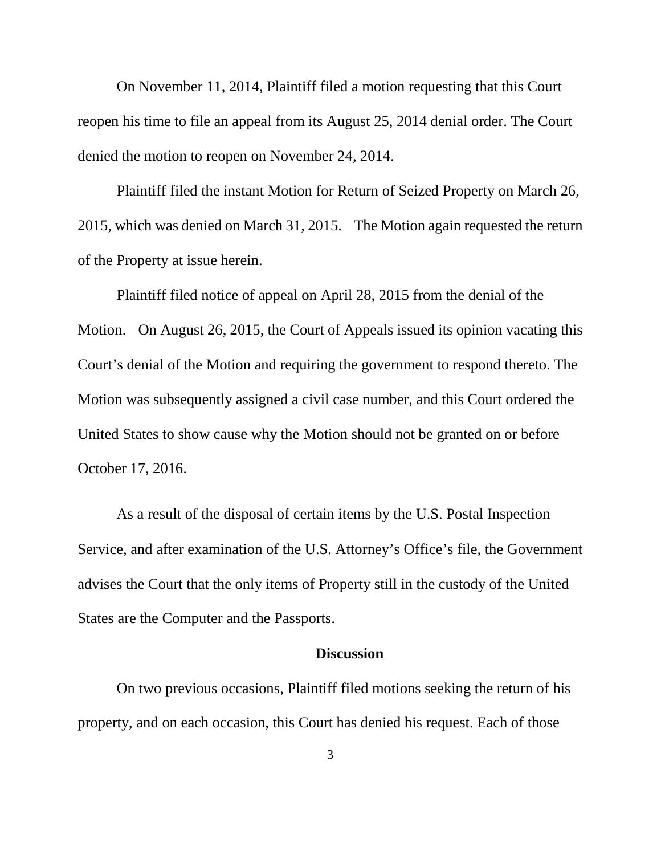On November 11, 2014, Plaintiff filed a motion requesting that this Court reopen his time to file an appeal from its August 25, 2014 denial order. The Court denied the motion to reopen on November 24, 2014.

Plaintiff filed the instant Motion for Return of Seized Property on March 26, 2015, which was denied on March 31, 2015. The Motion again requested the return of the Property at issue herein.

Plaintiff filed notice of appeal on April 28, 2015 from the denial of the Motion. On August 26, 2015, the Court of Appeals issued its opinion vacating this Court's denial of the Motion and requiring the government to respond thereto. The Motion was subsequently assigned a civil case number, and this Court ordered the United States to show cause why the Motion should not be granted on or before October 17, 2016.

As a result of the disposal of certain items by the U.S. Postal Inspection Service, and after examination of the U.S. Attorney's Office's file, the Government advises the Court that the only items of Property still in the custody of the United States are the Computer and the Passports.

#### **Discussion**

On two previous occasions, Plaintiff filed motions seeking the return of his property, and on each occasion, this Court has denied his request. Each of those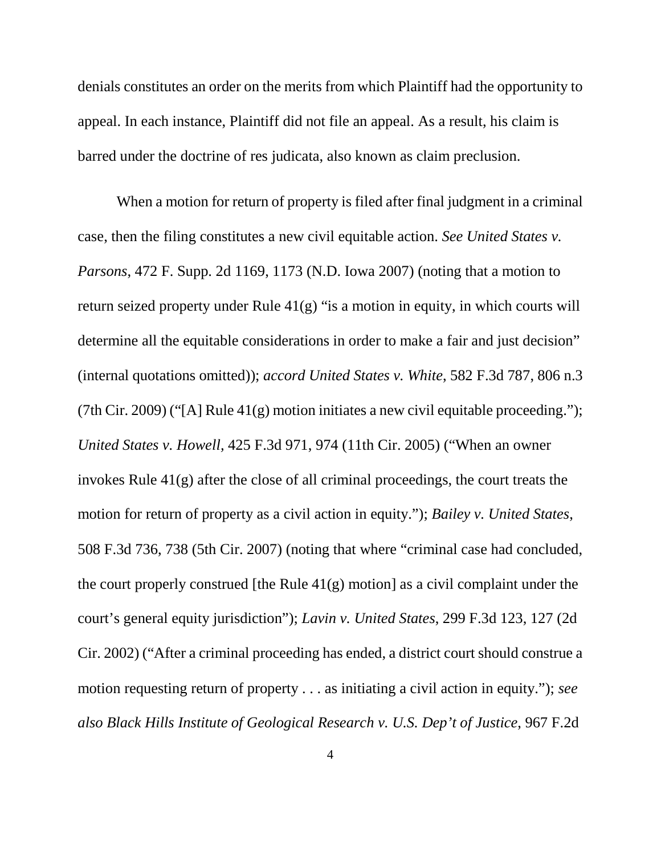denials constitutes an order on the merits from which Plaintiff had the opportunity to appeal. In each instance, Plaintiff did not file an appeal. As a result, his claim is barred under the doctrine of res judicata, also known as claim preclusion.

When a motion for return of property is filed after final judgment in a criminal case, then the filing constitutes a new civil equitable action. *See United States v. Parsons*, 472 F. Supp. 2d 1169, 1173 (N.D. Iowa 2007) (noting that a motion to return seized property under Rule 41(g) "is a motion in equity, in which courts will determine all the equitable considerations in order to make a fair and just decision" (internal quotations omitted)); *accord United States v. White*, 582 F.3d 787, 806 n.3 (7th Cir. 2009) ("[A] Rule  $41(g)$  motion initiates a new civil equitable proceeding."); *United States v. Howell,* 425 F.3d 971, 974 (11th Cir. 2005) ("When an owner invokes Rule 41(g) after the close of all criminal proceedings, the court treats the motion for return of property as a civil action in equity."); *Bailey v. United States*, 508 F.3d 736, 738 (5th Cir. 2007) (noting that where "criminal case had concluded, the court properly construed [the Rule  $41(g)$  motion] as a civil complaint under the court's general equity jurisdiction"); *Lavin v. United States*, 299 F.3d 123, 127 (2d Cir. 2002) ("After a criminal proceeding has ended, a district court should construe a motion requesting return of property . . . as initiating a civil action in equity."); *see also Black Hills Institute of Geological Research v. U.S. Dep't of Justice*, 967 F.2d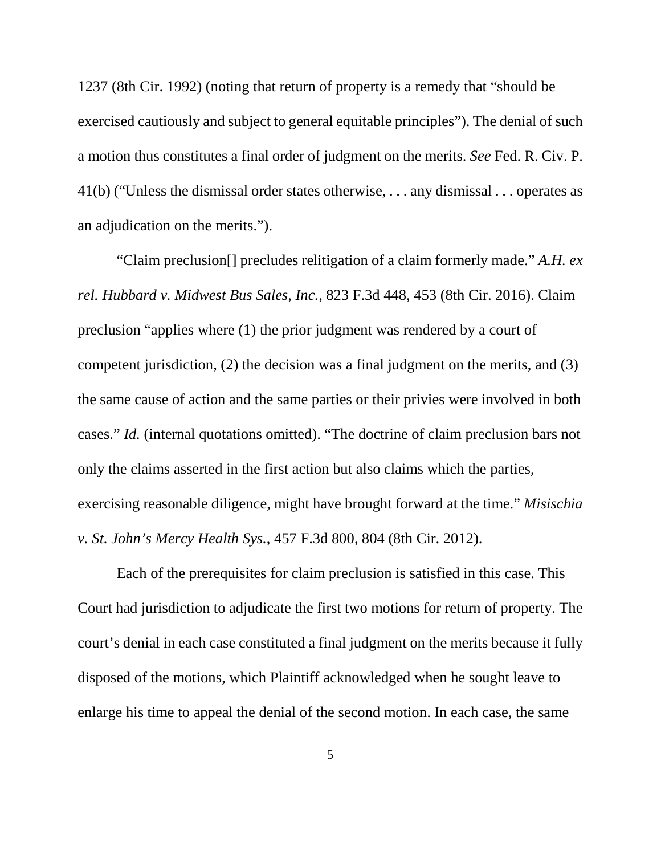1237 (8th Cir. 1992) (noting that return of property is a remedy that "should be exercised cautiously and subject to general equitable principles"). The denial of such a motion thus constitutes a final order of judgment on the merits. *See* Fed. R. Civ. P. 41(b) ("Unless the dismissal order states otherwise, . . . any dismissal . . . operates as an adjudication on the merits.").

"Claim preclusion[] precludes relitigation of a claim formerly made." *A.H. ex rel. Hubbard v. Midwest Bus Sales, Inc.*, 823 F.3d 448, 453 (8th Cir. 2016). Claim preclusion "applies where (1) the prior judgment was rendered by a court of competent jurisdiction, (2) the decision was a final judgment on the merits, and (3) the same cause of action and the same parties or their privies were involved in both cases." *Id.* (internal quotations omitted). "The doctrine of claim preclusion bars not only the claims asserted in the first action but also claims which the parties, exercising reasonable diligence, might have brought forward at the time." *Misischia v. St. John's Mercy Health Sys.*, 457 F.3d 800, 804 (8th Cir. 2012).

Each of the prerequisites for claim preclusion is satisfied in this case. This Court had jurisdiction to adjudicate the first two motions for return of property. The court's denial in each case constituted a final judgment on the merits because it fully disposed of the motions, which Plaintiff acknowledged when he sought leave to enlarge his time to appeal the denial of the second motion. In each case, the same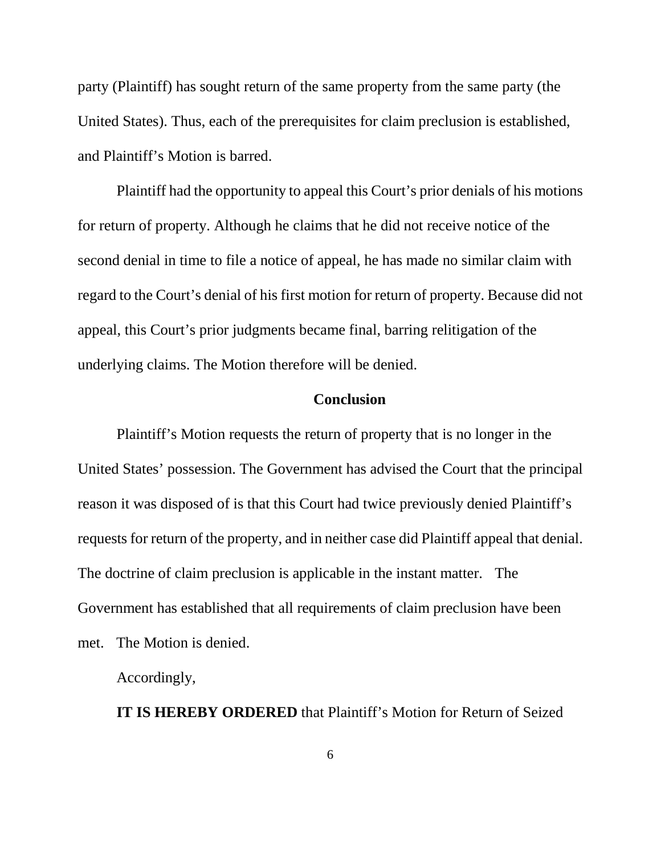party (Plaintiff) has sought return of the same property from the same party (the United States). Thus, each of the prerequisites for claim preclusion is established, and Plaintiff's Motion is barred.

Plaintiff had the opportunity to appeal this Court's prior denials of his motions for return of property. Although he claims that he did not receive notice of the second denial in time to file a notice of appeal, he has made no similar claim with regard to the Court's denial of his first motion for return of property. Because did not appeal, this Court's prior judgments became final, barring relitigation of the underlying claims. The Motion therefore will be denied.

# **Conclusion**

Plaintiff's Motion requests the return of property that is no longer in the United States' possession. The Government has advised the Court that the principal reason it was disposed of is that this Court had twice previously denied Plaintiff's requests for return of the property, and in neither case did Plaintiff appeal that denial. The doctrine of claim preclusion is applicable in the instant matter. The Government has established that all requirements of claim preclusion have been met. The Motion is denied.

Accordingly,

**IT IS HEREBY ORDERED** that Plaintiff's Motion for Return of Seized